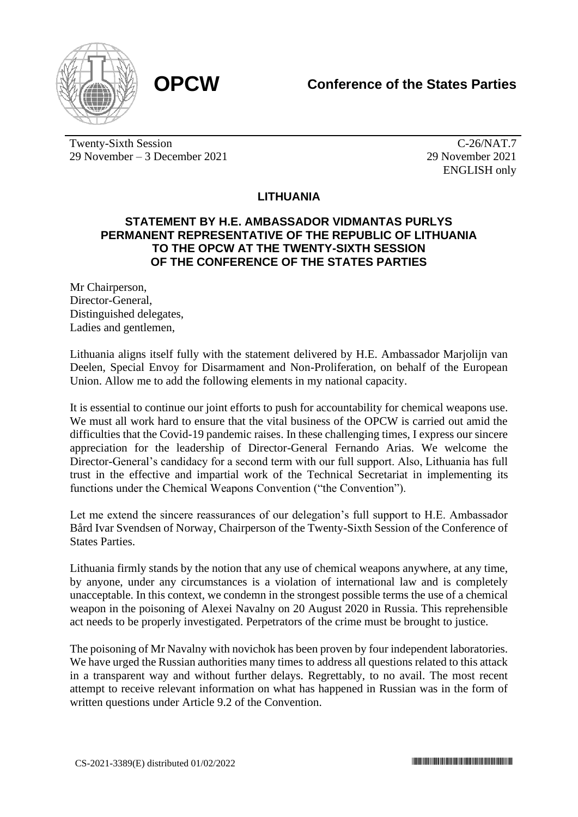



Twenty-Sixth Session 29 November – 3 December 2021

C-26/NAT.7 29 November 2021 ENGLISH only

## **LITHUANIA**

## **STATEMENT BY H.E. AMBASSADOR VIDMANTAS PURLYS PERMANENT REPRESENTATIVE OF THE REPUBLIC OF LITHUANIA TO THE OPCW AT THE TWENTY-SIXTH SESSION OF THE CONFERENCE OF THE STATES PARTIES**

Mr Chairperson, Director-General, Distinguished delegates, Ladies and gentlemen,

Lithuania aligns itself fully with the statement delivered by H.E. Ambassador Marjolijn van Deelen, Special Envoy for Disarmament and Non-Proliferation, on behalf of the European Union. Allow me to add the following elements in my national capacity.

It is essential to continue our joint efforts to push for accountability for chemical weapons use. We must all work hard to ensure that the vital business of the OPCW is carried out amid the difficulties that the Covid-19 pandemic raises. In these challenging times, I express our sincere appreciation for the leadership of Director-General Fernando Arias. We welcome the Director-General's candidacy for a second term with our full support. Also, Lithuania has full trust in the effective and impartial work of the Technical Secretariat in implementing its functions under the Chemical Weapons Convention ("the Convention").

Let me extend the sincere reassurances of our delegation's full support to H.E. Ambassador Bård Ivar Svendsen of Norway, Chairperson of the Twenty-Sixth Session of the Conference of States Parties.

Lithuania firmly stands by the notion that any use of chemical weapons anywhere, at any time, by anyone, under any circumstances is a violation of international law and is completely unacceptable. In this context, we condemn in the strongest possible terms the use of a chemical weapon in the poisoning of Alexei Navalny on 20 August 2020 in Russia. This reprehensible act needs to be properly investigated. Perpetrators of the crime must be brought to justice.

The poisoning of Mr Navalny with novichok has been proven by four independent laboratories. We have urged the Russian authorities many times to address all questions related to this attack in a transparent way and without further delays. Regrettably, to no avail. The most recent attempt to receive relevant information on what has happened in Russian was in the form of written questions under Article 9.2 of the Convention.